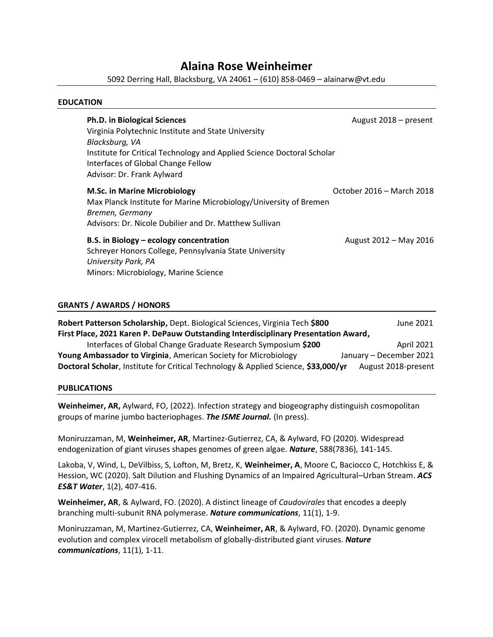# **Alaina Rose Weinheimer**

5092 Derring Hall, Blacksburg, VA 24061 – (610) 858-0469 – alainarw@vt.edu

## **EDUCATION**

| <b>Ph.D. in Biological Sciences</b><br>Virginia Polytechnic Institute and State University<br>Blacksburg, VA<br>Institute for Critical Technology and Applied Science Doctoral Scholar<br>Interfaces of Global Change Fellow<br>Advisor: Dr. Frank Aylward | August 2018 – present     |
|------------------------------------------------------------------------------------------------------------------------------------------------------------------------------------------------------------------------------------------------------------|---------------------------|
| <b>M.Sc. in Marine Microbiology</b><br>Max Planck Institute for Marine Microbiology/University of Bremen<br>Bremen, Germany<br>Advisors: Dr. Nicole Dubilier and Dr. Matthew Sullivan                                                                      | October 2016 - March 2018 |
| B.S. in Biology - ecology concentration<br>Schreyer Honors College, Pennsylvania State University<br>University Park, PA<br>Minors: Microbiology, Marine Science                                                                                           | August 2012 – May 2016    |

# **GRANTS / AWARDS / HONORS**

| Robert Patterson Scholarship, Dept. Biological Sciences, Virginia Tech \$800        | June 2021               |
|-------------------------------------------------------------------------------------|-------------------------|
| First Place, 2021 Karen P. DePauw Outstanding Interdisciplinary Presentation Award, |                         |
| Interfaces of Global Change Graduate Research Symposium \$200                       | <b>April 2021</b>       |
| Young Ambassador to Virginia, American Society for Microbiology                     | January - December 2021 |
| Doctoral Scholar, Institute for Critical Technology & Applied Science, \$33,000/yr  | August 2018-present     |

#### **PUBLICATIONS**

**Weinheimer, AR,** Aylward, FO, (2022). Infection strategy and biogeography distinguish cosmopolitan groups of marine jumbo bacteriophages. *The ISME Journal.* (In press).

Moniruzzaman, M, **Weinheimer, AR**, Martinez-Gutierrez, CA, & Aylward, FO (2020). Widespread endogenization of giant viruses shapes genomes of green algae. *Nature*, 588(7836), 141-145.

Lakoba, V, Wind, L, DeVilbiss, S, Lofton, M, Bretz, K, **Weinheimer, A**, Moore C, Baciocco C, Hotchkiss E, & Hession, WC (2020). Salt Dilution and Flushing Dynamics of an Impaired Agricultural–Urban Stream. *ACS ES&T Water*, 1(2), 407-416.

**Weinheimer, AR**, & Aylward, FO. (2020). A distinct lineage of *Caudovirales* that encodes a deeply branching multi-subunit RNA polymerase. *Nature communications*, 11(1), 1-9.

Moniruzzaman, M, Martinez-Gutierrez, CA, **Weinheimer, AR**, & Aylward, FO. (2020). Dynamic genome evolution and complex virocell metabolism of globally-distributed giant viruses. *Nature communications*, 11(1), 1-11.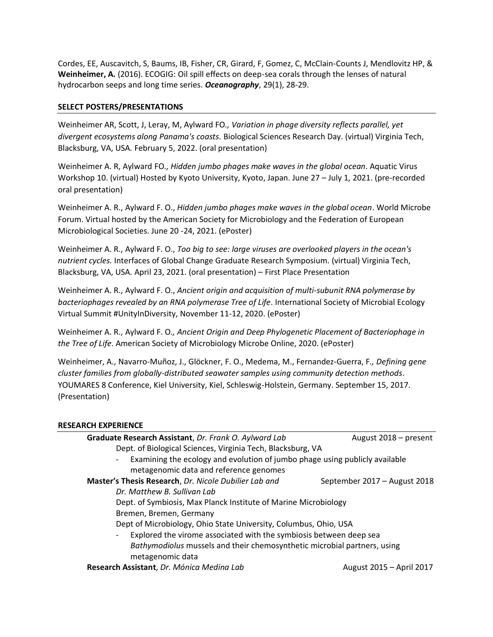Cordes, EE, Auscavitch, S, Baums, IB, Fisher, CR, Girard, F, Gomez, C, McClain-Counts J, Mendlovitz HP, & **Weinheimer, A.** (2016). ECOGIG: Oil spill effects on deep-sea corals through the lenses of natural hydrocarbon seeps and long time series. *Oceanography*, 29(1), 28-29.

# **SELECT POSTERS/PRESENTATIONS**

Weinheimer AR, Scott, J, Leray, M, Aylward FO*., Variation in phage diversity reflects parallel, yet divergent ecosystems along Panama's coasts.* Biological Sciences Research Day. (virtual) Virginia Tech, Blacksburg, VA, USA. February 5, 2022. (oral presentation)

Weinheimer A. R, Aylward FO*., Hidden jumbo phages make waves in the global ocean*. Aquatic Virus Workshop 10. (virtual) Hosted by Kyoto University, Kyoto, Japan. June 27 – July 1, 2021. (pre-recorded oral presentation)

Weinheimer A. R., Aylward F. O., *Hidden jumbo phages make waves in the global ocean*. World Microbe Forum. Virtual hosted by the American Society for Microbiology and the Federation of European Microbiological Societies. June 20 -24, 2021. (ePoster)

Weinheimer A. R., Aylward F. O., *Too big to see: large viruses are overlooked players in the ocean's nutrient cycles.* Interfaces of Global Change Graduate Research Symposium. (virtual) Virginia Tech, Blacksburg, VA, USA. April 23, 2021. (oral presentation) – First Place Presentation

Weinheimer A. R., Aylward F. O., *Ancient origin and acquisition of multi-subunit RNA polymerase by bacteriophages revealed by an RNA polymerase Tree of Life*. International Society of Microbial Ecology Virtual Summit #UnityInDiversity, November 11-12, 2020. (ePoster)

Weinheimer A. R., Aylward F. O*., Ancient Origin and Deep Phylogenetic Placement of Bacteriophage in the Tree of Life*. American Society of Microbiology Microbe Online, 2020. (ePoster)

Weinheimer, A., Navarro-Muñoz, J., Glöckner, F. O., Medema, M., Fernandez-Guerra, F*., Defining gene cluster families from globally-distributed seawater samples using community detection methods*. YOUMARES 8 Conference, Kiel University, Kiel, Schleswig-Holstein, Germany. September 15, 2017. (Presentation)

#### **RESEARCH EXPERIENCE**

| Graduate Research Assistant, Dr. Frank O. Aylward Lab                            | August 2018 - present        |
|----------------------------------------------------------------------------------|------------------------------|
| Dept. of Biological Sciences, Virginia Tech, Blacksburg, VA                      |                              |
| Examining the ecology and evolution of jumbo phage using publicly available<br>- |                              |
| metagenomic data and reference genomes                                           |                              |
| Master's Thesis Research, Dr. Nicole Dubilier Lab and                            | September 2017 – August 2018 |
| Dr. Matthew B. Sullivan Lab                                                      |                              |
| Dept. of Symbiosis, Max Planck Institute of Marine Microbiology                  |                              |
| Bremen, Bremen, Germany                                                          |                              |
| Dept of Microbiology, Ohio State University, Columbus, Ohio, USA                 |                              |
| Explored the virome associated with the symbiosis between deep sea               |                              |
| Bathymodiolus mussels and their chemosynthetic microbial partners, using         |                              |
| metagenomic data                                                                 |                              |
| Research Assistant, Dr. Mónica Medina Lab                                        | August 2015 - April 2017     |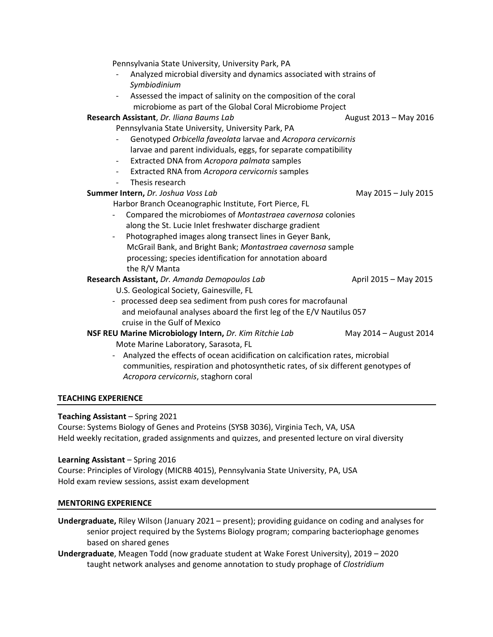| Pennsylvania State University, University Park, PA                                          |                        |
|---------------------------------------------------------------------------------------------|------------------------|
| Analyzed microbial diversity and dynamics associated with strains of                        |                        |
| Symbiodinium                                                                                |                        |
| Assessed the impact of salinity on the composition of the coral<br>$\overline{\phantom{a}}$ |                        |
| microbiome as part of the Global Coral Microbiome Project                                   |                        |
| Research Assistant, Dr. Iliana Baums Lab                                                    | August 2013 - May 2016 |
| Pennsylvania State University, University Park, PA                                          |                        |
| Genotyped Orbicella faveolata larvae and Acropora cervicornis                               |                        |
| larvae and parent individuals, eggs, for separate compatibility                             |                        |
| Extracted DNA from Acropora palmata samples<br>$\overline{\phantom{0}}$                     |                        |
| Extracted RNA from Acropora cervicornis samples<br>$\qquad \qquad \blacksquare$             |                        |
| Thesis research<br>$\overline{\phantom{a}}$                                                 |                        |
| Summer Intern, Dr. Joshua Voss Lab                                                          | May 2015 - July 2015   |
| Harbor Branch Oceanographic Institute, Fort Pierce, FL                                      |                        |
| Compared the microbiomes of Montastraea cavernosa colonies                                  |                        |
| along the St. Lucie Inlet freshwater discharge gradient                                     |                        |
| Photographed images along transect lines in Geyer Bank,<br>$\qquad \qquad \blacksquare$     |                        |
| McGrail Bank, and Bright Bank; Montastraea cavernosa sample                                 |                        |
| processing; species identification for annotation aboard                                    |                        |
| the R/V Manta                                                                               |                        |
| Research Assistant, Dr. Amanda Demopoulos Lab                                               | April 2015 - May 2015  |
| U.S. Geological Society, Gainesville, FL                                                    |                        |
| - processed deep sea sediment from push cores for macrofaunal                               |                        |
| and meiofaunal analyses aboard the first leg of the E/V Nautilus 057                        |                        |
| cruise in the Gulf of Mexico                                                                |                        |
| NSF REU Marine Microbiology Intern, Dr. Kim Ritchie Lab                                     | May 2014 - August 2014 |
| Mote Marine Laboratory, Sarasota, FL                                                        |                        |
| Analyzed the effects of ocean acidification on calcification rates, microbial               |                        |
| communities, respiration and photosynthetic rates, of six different genotypes of            |                        |

### **TEACHING EXPERIENCE**

#### **Teaching Assistant** – Spring 2021

Course: Systems Biology of Genes and Proteins (SYSB 3036), Virginia Tech, VA, USA Held weekly recitation, graded assignments and quizzes, and presented lecture on viral diversity

## **Learning Assistant** – Spring 2016

Course: Principles of Virology (MICRB 4015), Pennsylvania State University, PA, USA Hold exam review sessions, assist exam development

*Acropora cervicornis*, staghorn coral

#### **MENTORING EXPERIENCE**

- **Undergraduate,** Riley Wilson (January 2021 present); providing guidance on coding and analyses for senior project required by the Systems Biology program; comparing bacteriophage genomes based on shared genes
- **Undergraduate**, Meagen Todd (now graduate student at Wake Forest University), 2019 2020 taught network analyses and genome annotation to study prophage of *Clostridium*